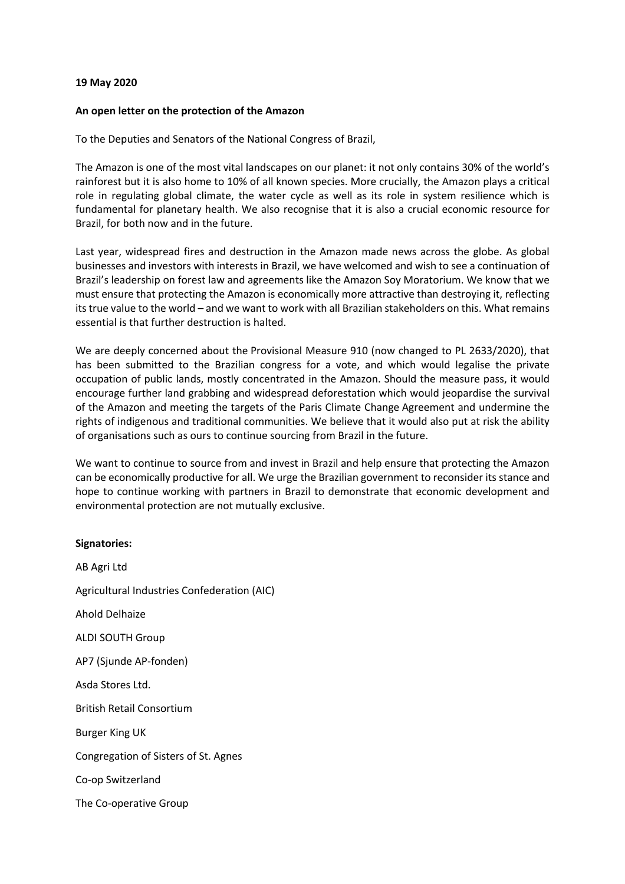## **19 May 2020**

## **An open letter on the protection of the Amazon**

To the Deputies and Senators of the National Congress of Brazil,

The Amazon is one of the most vital landscapes on our planet: it not only contains 30% of the world's rainforest but it is also home to 10% of all known species. More crucially, the Amazon plays a critical role in regulating global climate, the water cycle as well as its role in system resilience which is fundamental for planetary health. We also recognise that it is also a crucial economic resource for Brazil, for both now and in the future.

Last year, widespread fires and destruction in the Amazon made news across the globe. As global businesses and investors with interests in Brazil, we have welcomed and wish to see a continuation of Brazil's leadership on forest law and agreements like the Amazon Soy Moratorium. We know that we must ensure that protecting the Amazon is economically more attractive than destroying it, reflecting its true value to the world – and we want to work with all Brazilian stakeholders on this. What remains essential is that further destruction is halted.

We are deeply concerned about the Provisional Measure 910 (now changed to PL 2633/2020), that has been submitted to the Brazilian congress for a vote, and which would legalise the private occupation of public lands, mostly concentrated in the Amazon. Should the measure pass, it would encourage further land grabbing and widespread deforestation which would jeopardise the survival of the Amazon and meeting the targets of the Paris Climate Change Agreement and undermine the rights of indigenous and traditional communities. We believe that it would also put at risk the ability of organisations such as ours to continue sourcing from Brazil in the future.

We want to continue to source from and invest in Brazil and help ensure that protecting the Amazon can be economically productive for all. We urge the Brazilian government to reconsider its stance and hope to continue working with partners in Brazil to demonstrate that economic development and environmental protection are not mutually exclusive.

## **Signatories:**

AB Agri Ltd Agricultural Industries Confederation (AIC) Ahold Delhaize ALDI SOUTH Group AP7 (Sjunde AP-fonden) Asda Stores Ltd. British Retail Consortium Burger King UK Congregation of Sisters of St. Agnes Co-op Switzerland The Co-operative Group